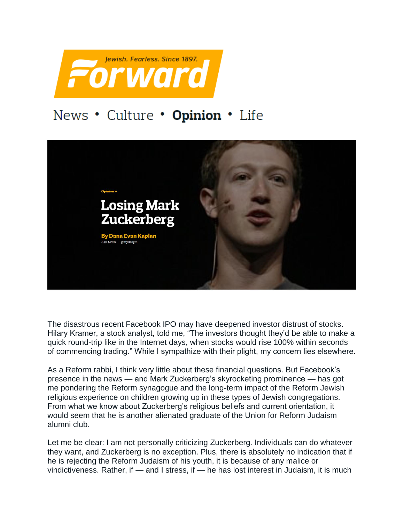

## News . Culture . Opinion . Life



The disastrous recent Facebook IPO may have deepened investor distrust of stocks. Hilary Kramer, a stock analyst, told me, "The investors thought they'd be able to make a quick round-trip like in the Internet days, when stocks would rise 100% within seconds of commencing trading." While I sympathize with their plight, my concern lies elsewhere.

As a Reform rabbi, I think very little about these financial questions. But Facebook's presence in the news — and Mark Zuckerberg's skyrocketing prominence — has got me pondering the Reform synagogue and the long-term impact of the Reform Jewish religious experience on children growing up in these types of Jewish congregations. From what we know about Zuckerberg's religious beliefs and current orientation, it would seem that he is another alienated graduate of the Union for Reform Judaism alumni club.

Let me be clear: I am not personally criticizing Zuckerberg. Individuals can do whatever they want, and Zuckerberg is no exception. Plus, there is absolutely no indication that if he is rejecting the Reform Judaism of his youth, it is because of any malice or vindictiveness. Rather, if — and I stress, if — he has lost interest in Judaism, it is much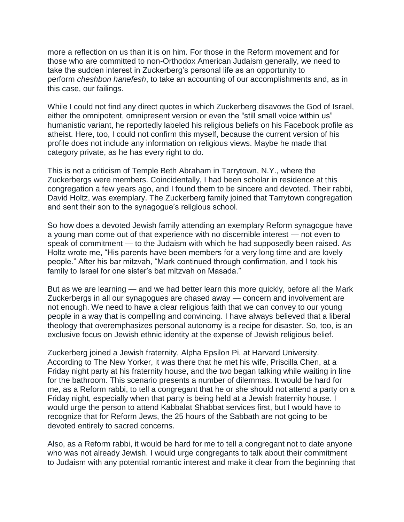more a reflection on us than it is on him. For those in the Reform movement and for those who are committed to non-Orthodox American Judaism generally, we need to take the sudden interest in Zuckerberg's personal life as an opportunity to perform *cheshbon hanefesh*, to take an accounting of our accomplishments and, as in this case, our failings.

While I could not find any direct quotes in which Zuckerberg disavows the God of Israel, either the omnipotent, omnipresent version or even the "still small voice within us" humanistic variant, he reportedly labeled his religious beliefs on his Facebook profile as atheist. Here, too, I could not confirm this myself, because the current version of his profile does not include any information on religious views. Maybe he made that category private, as he has every right to do.

This is not a criticism of Temple Beth Abraham in Tarrytown, N.Y., where the Zuckerbergs were members. Coincidentally, I had been scholar in residence at this congregation a few years ago, and I found them to be sincere and devoted. Their rabbi, David Holtz, was exemplary. The Zuckerberg family joined that Tarrytown congregation and sent their son to the synagogue's religious school.

So how does a devoted Jewish family attending an exemplary Reform synagogue have a young man come out of that experience with no discernible interest — not even to speak of commitment — to the Judaism with which he had supposedly been raised. As Holtz wrote me, "His parents have been members for a very long time and are lovely people." After his bar mitzvah, "Mark continued through confirmation, and I took his family to Israel for one sister's bat mitzvah on Masada."

But as we are learning — and we had better learn this more quickly, before all the Mark Zuckerbergs in all our synagogues are chased away — concern and involvement are not enough. We need to have a clear religious faith that we can convey to our young people in a way that is compelling and convincing. I have always believed that a liberal theology that overemphasizes personal autonomy is a recipe for disaster. So, too, is an exclusive focus on Jewish ethnic identity at the expense of Jewish religious belief.

Zuckerberg joined a Jewish fraternity, Alpha Epsilon Pi, at Harvard University. According to The New Yorker, it was there that he met his wife, Priscilla Chen, at a Friday night party at his fraternity house, and the two began talking while waiting in line for the bathroom. This scenario presents a number of dilemmas. It would be hard for me, as a Reform rabbi, to tell a congregant that he or she should not attend a party on a Friday night, especially when that party is being held at a Jewish fraternity house. I would urge the person to attend Kabbalat Shabbat services first, but I would have to recognize that for Reform Jews, the 25 hours of the Sabbath are not going to be devoted entirely to sacred concerns.

Also, as a Reform rabbi, it would be hard for me to tell a congregant not to date anyone who was not already Jewish. I would urge congregants to talk about their commitment to Judaism with any potential romantic interest and make it clear from the beginning that